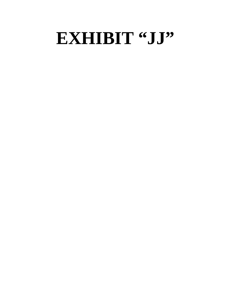# EXHIBIT "JJ"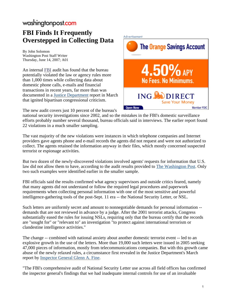## washingtonpost.com **FBI Finds It Frequently Overstepped in Collecting Data**

By John Solomon Washington Post Staff Writer Thursday, June 14, 2007; A01

An internal FBI audit has found that the bureau potentially violated the law or agency rules more than 1,000 times while collecting data about domestic phone calls, e-mails and financial transactions in recent years, far more than was documented in a Justice Department report in March that ignited bipartisan congressional criticism.



The new audit covers just 10 percent of the bureau's

national security investigations since 2002, and so the mistakes in the FBI's domestic surveillance efforts probably number several thousand, bureau officials said in interviews. The earlier report found 22 violations in a much smaller sampling.

The vast majority of the new violations were instances in which telephone companies and Internet providers gave agents phone and e-mail records the agents did not request and were not authorized to collect. The agents retained the information anyway in their files, which mostly concerned suspected terrorist or espionage activities.

But two dozen of the newly-discovered violations involved agents' requests for information that U.S. law did not allow them to have, according to the audit results provided to The Washington Post. Only two such examples were identified earlier in the smaller sample.

FBI officials said the results confirmed what agency supervisors and outside critics feared, namely that many agents did not understand or follow the required legal procedures and paperwork requirements when collecting personal information with one of the most sensitive and powerful intelligence-gathering tools of the post-Sept. 11 era -- the National Security Letter, or NSL.

Such letters are uniformly secret and amount to nonnegotiable demands for personal information - demands that are not reviewed in advance by a judge. After the 2001 terrorist attacks, Congress substantially eased the rules for issuing NSLs, requiring only that the bureau certify that the records are "sought for" or "relevant to" an investigation "to protect against international terrorism or clandestine intelligence activities."

The change -- combined with national anxiety about another domestic terrorist event -- led to an explosive growth in the use of the letters. More than 19,000 such letters were issued in 2005 seeking 47,000 pieces of information, mostly from telecommunications companies. But with this growth came abuse of the newly relaxed rules, a circumstance first revealed in the Justice Department's March report by Inspector General Glenn A. Fine.

"The FBI's comprehensive audit of National Security Letter use across all field offices has confirmed the inspector general's findings that we had inadequate internal controls for use of an invaluable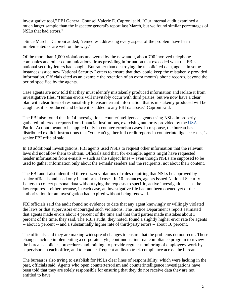investigative tool," FBI General Counsel Valerie E. Caproni said. "Our internal audit examined a much larger sample than the inspector general's report last March, but we found similar percentages of NSLs that had errors."

"Since March," Caproni added, "remedies addressing every aspect of the problem have been implemented or are well on the way."

Of the more than 1,000 violations uncovered by the new audit, about 700 involved telephone companies and other communications firms providing information that exceeded what the FBI's national security letters had sought. But rather than destroying the unsolicited data, agents in some instances issued new National Security Letters to ensure that they could keep the mistakenly provided information. Officials cited as an example the retention of an extra month's phone records, beyond the period specified by the agents.

Case agents are now told that they must identify mistakenly produced information and isolate it from investigative files. "Human errors will inevitably occur with third parties, but we now have a clear plan with clear lines of responsibility to ensure errant information that is mistakenly produced will be caught as it is produced and before it is added to any FBI database," Caproni said.

The FBI also found that in 14 investigations, counterintelligence agents using NSLs improperly gathered full credit reports from financial institutions, exercising authority provided by the USA Patriot Act but meant to be applied only in counterterrorism cases. In response, the bureau has distributed explicit instructions that "you can't gather full credit reports in counterintelligence cases," a senior FBI official said.

In 10 additional investigations, FBI agents used NSLs to request other information that the relevant laws did not allow them to obtain. Officials said that, for example, agents might have requested header information from e-mails -- such as the subject lines -- even though NSLs are supposed to be used to gather information only about the e-mails' senders and the recipients, not about their content.

The FBI audit also identified three dozen violations of rules requiring that NSLs be approved by senior officials and used only in authorized cases. In 10 instances, agents issued National Security Letters to collect personal data without tying the requests to specific, active investigations -- as the law requires -- either because, in each case, an investigative file had not been opened yet or the authorization for an investigation had expired without being renewed.

FBI officials said the audit found no evidence to date that any agent knowingly or willingly violated the laws or that supervisors encouraged such violations. The Justice Department's report estimated that agents made errors about 4 percent of the time and that third parties made mistakes about 3 percent of the time, they said. The FBI's audit, they noted, found a slightly higher error rate for agents -- about 5 percent -- and a substantially higher rate of third-party errors -- about 10 percent.

The officials said they are making widespread changes to ensure that the problems do not recur. Those changes include implementing a corporate-style, continuous, internal compliance program to review the bureau's policies, procedures and training, to provide regular monitoring of employees' work by supervisors in each office, and to conduct frequent audits to track compliance across the bureau.

The bureau is also trying to establish for NSLs clear lines of responsibility, which were lacking in the past, officials said. Agents who open counterterrorism and counterintelligence investigations have been told that they are solely responsible for ensuring that they do not receive data they are not entitled to have.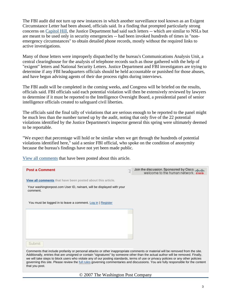The FBI audit did not turn up new instances in which another surveillance tool known as an Exigent Circumstance Letter had been abused, officials said. In a finding that prompted particularly strong concerns on Capitol Hill, the Justice Department had said such letters -- which are similar to NSLs but are meant to be used only in security emergencies -- had been invoked hundreds of times in "nonemergency circumstances" to obtain detailed phone records, mostly without the required links to active investigations.

Many of those letters were improperly dispatched by the bureau's Communications Analysis Unit, a central clearinghouse for the analysis of telephone records such as those gathered with the help of "exigent" letters and National Security Letters. Justice Department and FBI investigators are trying to determine if any FBI headquarters officials should be held accountable or punished for those abuses, and have begun advising agents of their due process rights during interviews.

The FBI audit will be completed in the coming weeks, and Congress will be briefed on the results, officials said. FBI officials said each potential violation will then be extensively reviewed by lawyers to determine if it must be reported to the Intelligence Oversight Board, a presidential panel of senior intelligence officials created to safeguard civil liberties.

The officials said the final tally of violations that are serious enough to be reported to the panel might be much less than the number turned up by the audit, noting that only five of the 22 potential violations identified by the Justice Department's inspector general this spring were ultimately deemed to be reportable.

"We expect that percentage will hold or be similar when we get through the hundreds of potential violations identified here," said a senior FBI official, who spoke on the condition of anonymity because the bureau's findings have not yet been made public.

View all comments that have been posted about this article.



© 2007 The Washington Post Company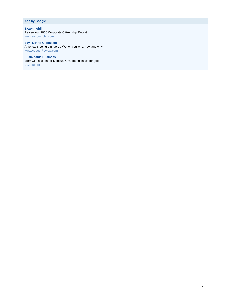#### **Ads by Google**

**Exxonmobil** Review our 2006 Corporate Citizenship Report www.exxonmobil.com

#### **Say "No" to Globalism**

America is being plundered We tell you who, how and why www.AugustReview.com

#### **Sustainable Business**

MBA with sustainability focus. Change business for good. BGIedu.org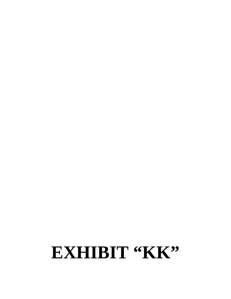# EXHIBIT "KK"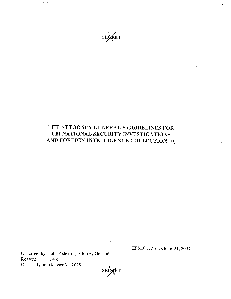

### THE ATTORNEY GENERAL'S GUIDELINES FOR FBI NATIONAL SECURITY INVESTIGATIONS AND FOREIGN INTELLIGENCE COLLECTION (U)

Classified by: John Ashcroft, Attorney General  $1.4(c)$ Reason: Declassify on: October 31, 2028

EFFECTIVE: October 31, 2003

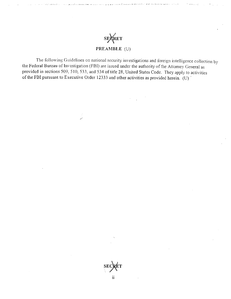

.<br>المسلوب التوليديات المسلمة المسلمية المسلمية

The following Guidelines on national security investigations and foreign intelligence collection by the Federal Bureau of Investigation (FBI) are issued under the authority of the Attorney General as provided in sections 509, 510, 533, and 534 of title 28, United States Code. They apply to activities of the FBI pursuant to Executive Order 12333 and other activities as provided herein. (U)

الباردة

 $\gamma$  , and  $\gamma_{\rm GUT}$ 

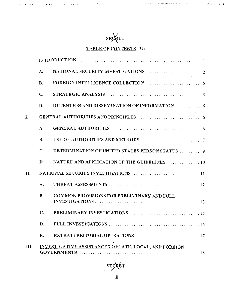# SECRET

الأفوال الجوابيون والأراد

الا المحل المحل المحل المحل المحل المحل المحل المحل المحل المحل المحل المحل المحل المحل المحل المحل المحل المح<br>المحل المحل المحل المحل المحل المحل المحل المحل المحل المحل المحل المحل المحل المحل المحل المحل المحل المحل ال

### TABLE OF CONTENTS (U)

|      | A.             |                                                       |
|------|----------------|-------------------------------------------------------|
|      | <b>B.</b>      |                                                       |
|      | C.             |                                                       |
|      | D.             |                                                       |
| I.   |                |                                                       |
|      | A.             |                                                       |
|      | <b>B.</b>      |                                                       |
|      | $\mathbf{C}$ . |                                                       |
|      | D.             | NATURE AND APPLICATION OF THE GUIDELINES 10           |
| II.  |                |                                                       |
|      | A.             |                                                       |
|      | B.             | <b>COMMON PROVISIONS FOR PRELIMINARY AND FULL</b>     |
|      | C.             |                                                       |
|      | D.             |                                                       |
|      | E.             |                                                       |
| III. |                | INVESTIGATIVE ASSISTANCE TO STATE, LOCAL, AND FOREIGN |

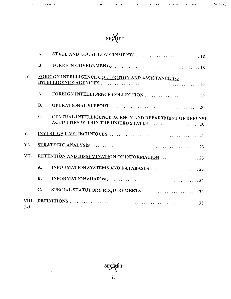

 $\mathcal{O}(22)$  in Ref.

|              | $\mathbf{A}$ . |                                                                              |
|--------------|----------------|------------------------------------------------------------------------------|
|              | <b>B.</b>      |                                                                              |
| IV.          |                | FOREIGN INTELLIGENCE COLLECTION AND ASSISTANCE TO                            |
|              | A.             | FOREIGN INTELLIGENCE COLLECTION 19                                           |
|              | $\bf{B}$ .     |                                                                              |
|              | C.             | CENTRAL INTELLIGENCE AGENCY AND DEPARTMENT OF DEFENSE                        |
| V.           |                |                                                                              |
| VI.          |                | STRATEGIC ANALYSIS (1999) 23                                                 |
| VII.         |                | <b>RETENTION AND DISSEMINATION OF INFORMATION 23</b>                         |
|              | $\mathbf{A}$ . |                                                                              |
|              | <b>B.</b>      |                                                                              |
|              | $\mathbf{C}$ . | SPECIAL STATUTORY REQUIREMENTS [10] [10] [10] SPECIAL STATUTORY REQUIREMENTS |
| VIII.<br>(U) |                |                                                                              |



 $iv$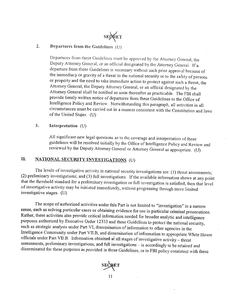

#### $2.$ Departures from the Guidelines (U)

Departures from these Guidelines must be approved by the Attorney General, the Deputy Attorney General, or an official designated by the Attorney General. If a departure from these Guidelines is necessary without such prior approval because of the immediacy or gravity of a threat to the national security or to the safety of persons or property and the need to take immediate action to protect against such a threat, the Attorney General, the Deputy Attorney General, or an official designated by the Attorney General shall be notified as soon thereafter as practicable. The FBI shall provide timely written notice of departures from these Guidelines to the Office of Intelligence Policy and Review. Notwithstanding this paragraph, all activities in all circumstances must be carried out in a manner consistent with the Constitution and laws of the United States. (U)

#### 3. Interpretation (U)

All significant new legal questions as to the coverage and interpretation of these guidelines will be resolved initially by the Office of Intelligence Policy and Review and reviewed by the Deputy Attorney General or Attorney General as appropriate. (U)

#### **NATIONAL SECURITY INVESTIGATIONS (U)** II.

The levels of investigative activity in national security investigations are: (1) threat assessments; (2) preliminary investigations; and (3) full investigations. If the available information shows at any point that the threshold standard for a preliminary investigation or full investigation is satisfied, then that level of investigative activity may be initiated immediately, without progressing through more limited investigative stages. (U)

The scope of authorized activities under this Part is not limited to "investigation" in a narrow sense, such as solving particular cases or obtaining evidence for use in particular criminal prosecutions. Rather, these activities also provide critical information needed for broader analytic and intelligence purposes authorized by Executive Order 12333 and these Guidelines to protect the national security, such as strategic analysis under Part VI, dissemination of information to other agencies in the Intelligence Community under Part VII.B, and dissemination of information to appropriate White House officials under Part VII.B. Information obtained at all stages of investigative activity - threat assessments, preliminary investigations, and full investigations - is accordingly to be retained and disseminated for these purposes as provided in these Guidelines, or in FBI policy consistent with these

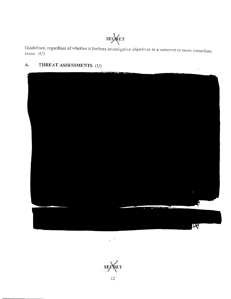

Guidelines, regardless of whether it furthers investigative objectives in a narrower or more immediate sense. (U)

#### A. THREAT ASSESSMENTS (U)



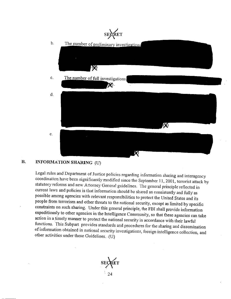

#### **B.** INFORMATION SHARING (U)

Legal rules and Department of Justice policies regarding information sharing and interagency coordination have been significantly modified since the September 11, 2001, terrorist attack by statutory reforms and new Attorney General guidelines. The general principle reflected in current laws and policies is that information should be shared as consistently and fully as possible among agencies with relevant responsibilities to protect the United States and its people from terrorism and other threats to the national security, except as limited by specific constraints on such sharing. Under this general principle, the FBI shall provide information expeditiously to other agencies in the Intelligence Community, so that these agencies can take action in a timely manner to protect the national security in accordance with their lawful functions. This Subpart provides standards and procedures for the sharing and dissemination of information obtained in national security investigations, foreign intelligence collection, and other activities under these Guidelines. (U)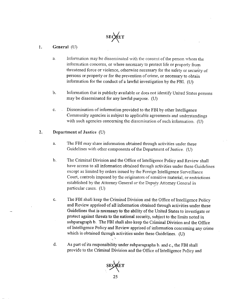

#### General (U) 1.

- Information may be disseminated with the consent of the person whom the a. information concerns, or where necessary to protect life or property from threatened force or violence, otherwise necessary for the safety or security of persons or property or for the prevention of crime, or necessary to obtain information for the conduct of a lawful investigation by the FBI. (U)
- $\mathbf b$ . Information that is publicly available or does not identify United States persons may be disseminated for any lawful purpose. (U)
- c. Dissemination of information provided to the FBI by other Intelligence Community agencies is subject to applicable agreements and understandings with such agencies concerning the dissemination of such information. (U)

#### $2.$ Department of Justice (U)

- The FBI may share information obtained through activities under these a. Guidelines with other components of the Department of Justice. (U)
- $\mathbf b$ . The Criminal Division and the Office of Intelligence Policy and Review shall have access to all information obtained through activities under these Guidelines except as limited by orders issued by the Foreign Intelligence Surveillance Court, controls imposed by the originators of sensitive material, or restrictions established by the Attorney General or the Deputy Attorney General in particular cases. (U)
- The FBI shall keep the Criminal Division and the Office of Intelligence Policy c. and Review apprised of all information obtained through activities under these Guidelines that is necessary to the ability of the United States to investigate or protect against threats to the national security, subject to the limits noted in subparagraph b. The FBI shall also keep the Criminal Division and the Office of Intelligence Policy and Review apprised of information concerning any crime which is obtained through activities under these Guidelines. (U)
- As part of its responsibility under subparagraphs b. and c., the FBI shall d. provide to the Criminal Division and the Office of Intelligence Policy and

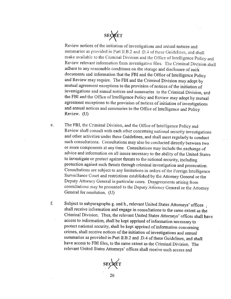

Review notices of the initiation of investigations and annual notices and summaries as provided in Part II.B.2 and .D.4 of these Guidelines, and shall make available to the Criminal Division and the Office of Intelligence Policy and Review relevant information from investigative files. The Criminal Division shall adhere to any reasonable conditions on the storage and disclosure of such documents and information that the FBI and the Office of Intelligence Policy and Review may require. The FBI and the Criminal Division may adopt by mutual agreement exceptions to the provision of notices of the initiation of investigations and annual notices and summaries to the Criminal Division, and the FBI and the Office of Intelligence Policy and Review may adopt by mutual agreement exceptions to the provision of notices of initiation of investigations and annual notices and summaries to the Office of Intelligence and Policy Review. (U)

The FBI, the Criminal Division, and the Office of Intelligence Policy and e. Review shall consult with each other concerning national security investigations and other activities under these Guidelines, and shall meet regularly to conduct such consultations. Consultations may also be conducted directly between two or more components at any time. Consultations may include the exchange of advice and information on all issues necessary to the ability of the United States to investigate or protect against threats to the national security, including protection against such threats through criminal investigation and prosecution. Consultations are subject to any limitations in orders of the Foreign Intelligence Surveillance Court and restrictions established by the Attorney General or the Deputy Attorney General in particular cases. Disagreements arising from consultations may be presented to the Deputy Attorney General or the Attorney General for resolution. (U)

Subject to subparagraphs g. and h., relevant United States Attorneys' offices. shall receive information and engage in consultations to the same extent as the Criminal Division. Thus, the relevant United States Attorneys' offices shall have access to information, shall be kept apprised of information necessary to protect national security, shall be kept apprised of information concerning crimes, shall receive notices of the initiation of investigations and annual summaries as provided in Part II.B.2 and .D.4 of these Guidelines, and shall have access to FBI files, to the same extent as the Criminal Division. The relevant United States Attorneys' offices shall receive such access and



 $f$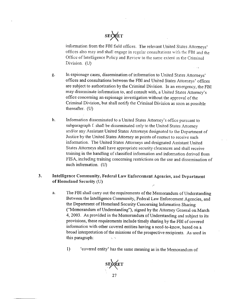

information from the FBI field offices. The relevant United States Attorneys' offices also may and shall engage in regular consultations with the FBI and the Office of Intelligence Policy and Review to the same extent as the Criminal Division (U)

In espionage cases, dissemination of information to United States Attorneys' g. offices and consultations between the FBI and United States Attorneys' offices are subject to authorization by the Criminal Division. In an emergency, the FBI may disseminate information to, and consult with, a United States Attorney's office concerning an espionage investigation without the approval of the Criminal Division, but shall notify the Criminal Division as soon as possible thereafter. (U)

Information disseminated to a United States Attorney's office pursuant to h. subparagraph f. shall be disseminated only to the United States Attorney and/or any Assistant United States Attorneys designated to the Department of Justice by the United States Attorney as points of contact to receive such information. The United States Attorneys and designated Assistant United States Attorneys shall have appropriate security clearances and shall receive training in the handling of classified information and information derived from FISA, including training concerning restrictions on the use and dissemination of such information. (U)

#### 3. Intelligence Community, Federal Law Enforcement Agencies, and Department of Homeland Security (U)

a. The FBI shall carry out the requirements of the Memorandum of Understanding Between the Intelligence Community, Federal Law Enforcement Agencies, and the Department of Homeland Security Concerning Information Sharing ("Memorandum of Understanding"), signed by the Attorney General on March 4, 2003. As provided in the Memorandum of Understanding and subject to its provisions, these requirements include timely sharing by the FBI of covered information with other covered entities having a need-to-know, based on a broad interpretation of the missions of the prospective recipients. As used in this paragraph:  $\sqrt{N}$ 

'covered entity' has the same meaning as in the Memorandum of  $\left| \right|$ 

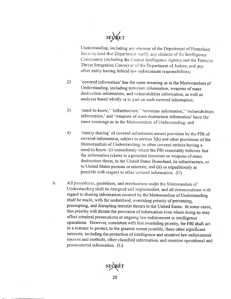

Understanding, including any element of the Department of Homeland Security (and that Department itself); any element of the Intelligence Community (including the Central Intelligence Agency and the Terrorist Threat Integration Center) or of the Department of Justice; and any other entity having federal law enforcement responsibilities;

- 'covered information' has the same meaning as in the Memorandum of  $2)$ Understanding, including terrorism information, weapons of mass destruction information, and vulnerabilities information, as well as analyses based wholly or in part on such covered information;
- 'need-to-know,' 'infrastructure,' 'terrorism information,' 'vulnerabilities  $3)$ information,' and 'weapons of mass destruction information' have the same meanings as in the Memorandum of Understanding; and
- 'timely sharing' of covered information means provision by the FBI of  $4)$ covered information, subject to section 3(h) and other provisions of the Memorandum of Understanding, to other covered entities having a need-to-know: (i) immediately where the FBI reasonably believes that the information relates to a potential terrorism or weapons of mass destruction threat, to the United States Homeland, its infrastructure, or to United States persons or interests, and (ii) as expeditiously as possible with respect to other covered information. (U)
- $b.$ All procedures, guidelines, and mechanisms under the Memorandum of Understanding shall be designed and implemented, and all determinations with regard to sharing information covered by the Memorandum of Understanding shall be made, with the understood, overriding priority of preventing, preempting, and disrupting terrorist threats to the United States. In some cases, this priority will dictate the provision of information even where doing so may affect criminal prosecutions or ongoing law enforcement or intelligence operations. However, consistent with this overriding priority, the FBI shall act in a manner to protect, to the greatest extent possible, these other significant interests, including the protection of intelligence and sensitive law enforcement sources and methods, other classified information, and sensitive operational and prosecutorial information. (U)

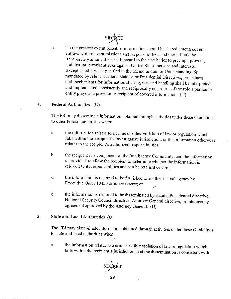

To the greatest extent possible, information should be shared among covered  $\mathbf{c}$ . entities with relevant missions and responsibilities, and there should be transparency among them with regard to their activities to preempt, prevent, and disrupt terrorist attacks against United States persons and interests. Except as otherwise specified in the Memorandum of Understanding, or mandated by relevant federal statutes or Presidential Directives, procedures and mechanisms for information sharing, use, and handling shall be interpreted and implemented consistently and reciprocally regardless of the role a particular entity plays as a provider or recipient of covered information. (U)

#### $\boldsymbol{4}$ . Federal Authorities (U)

The FBI may disseminate information obtained through activities under these Guidelines to other federal authorities when:

- the information relates to a crime or other violation of law or regulation which  $\mathbf{a}$ . falls within the recipient's investigative jurisdiction, or the information otherwise relates to the recipient's authorized responsibilities;
- the recipient is a component of the Intelligence Community, and the information  $\mathbf b$ . is provided to allow the recipient to determine whether the information is relevant to its responsibilities and can be retained or used;
- the information is required to be furnished to another federal agency by C. Executive Order 10450 or its successor; or
- the information is required to be disseminated by statute, Presidential directive,  $\mathbf{d}$ . National Security Council directive, Attorney General directive, or interagency agreement approved by the Attorney General. (U)

#### 5. State and Local Authorities (U)

The FBI may disseminate information obtained through activities under these Guidelines to state and local authorities when:

the information relates to a crime or other violation of law or regulation which a. falls within the recipient's jurisdiction, and the dissemination is consistent with